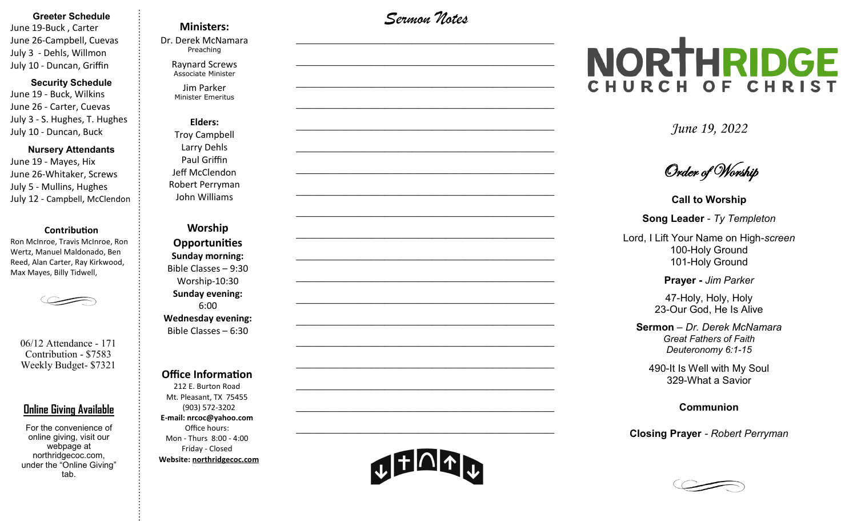#### **Greeter Schedule**

June 19-Buck , Carter June 26-Campbell, Cuevas July 3 - Dehls, Willmon July 10 - Duncan, Griffin

#### **Security Schedule**

June 19 - Buck, Wilkins June 26 - Carter, Cuevas July 3 - S. Hughes, T. Hughes July 10 - Duncan, Buck

#### **Nursery Attendants**

June 19 - Mayes, Hix June 26-Whitaker, Screws July 5 - Mullins, Hughes July 12 - Campbell, McClendon

#### **Contribution**

Ron McInroe, Travis McInroe, Ron Wertz, Manuel Maldonado, Ben Reed, Alan Carter, Ray Kirkwood, Max Mayes, Billy Tidwell,

06/12 Attendance - 171 Contribution - \$7583 Weekly Budget- \$7321

### **Online Giving Available**

For the convenience of online giving, visit our webpage at northridgecoc.com, under the "Online Giving" tab.

## **Ministers:**

Dr. Derek McNamara Preaching 

Raynard Screws Associate Minister

Jim Parker Minister Emeritus

**Elders:** Troy Campbell Larry Dehls Paul Griffin Jeff McClendon Robert Perryman John Williams

**Worship Opportunities Sunday morning:**  Bible Classes – 9:30 Worship-10:30 **Sunday evening:**  6:00 **Wednesday evening:** Bible Classes – 6:30

#### **Office Information**

212 E. Burton Road Mt. Pleasant, TX 75455 (903) 572-3202 **E-mail: nrcoc@yahoo.com** Office hours: Mon - Thurs 8:00 - 4:00 Friday - Closed **Website: northridgecoc.com**

*Sermon Notes*

 $\mathcal{L}_\text{max}$ 

 $\mathcal{L}_\text{max}$  , and the set of the set of the set of the set of the set of the set of the set of the set of the set of the set of the set of the set of the set of the set of the set of the set of the set of the set of the

 $\mathcal{L}_\text{max}$  , and the set of the set of the set of the set of the set of the set of the set of the set of the set of the set of the set of the set of the set of the set of the set of the set of the set of the set of the

 $\mathcal{L}_\text{max}$  , and the set of the set of the set of the set of the set of the set of the set of the set of the set of the set of the set of the set of the set of the set of the set of the set of the set of the set of the

 $\mathcal{L}_\text{max}$ 

 $\mathcal{L}_\text{max}$ 

 $\mathcal{L}_\text{max}$  , and the set of the set of the set of the set of the set of the set of the set of the set of the set of the set of the set of the set of the set of the set of the set of the set of the set of the set of the

 $\mathcal{L}_\text{max}$  , and the set of the set of the set of the set of the set of the set of the set of the set of the set of the set of the set of the set of the set of the set of the set of the set of the set of the set of the

 $\mathcal{L}_\text{max}$  , and the set of the set of the set of the set of the set of the set of the set of the set of the set of the set of the set of the set of the set of the set of the set of the set of the set of the set of the

 $\mathcal{L}_\text{max}$ 

 $\mathcal{L}_\text{max}$  , and the set of the set of the set of the set of the set of the set of the set of the set of the set of the set of the set of the set of the set of the set of the set of the set of the set of the set of the

 $\mathcal{L}_\text{max}$  , and the set of the set of the set of the set of the set of the set of the set of the set of the set of the set of the set of the set of the set of the set of the set of the set of the set of the set of the

 $\mathcal{L}_\text{max}$  , and the set of the set of the set of the set of the set of the set of the set of the set of the set of the set of the set of the set of the set of the set of the set of the set of the set of the set of the

 $\mathcal{L}_\text{max}$  , and the set of the set of the set of the set of the set of the set of the set of the set of the set of the set of the set of the set of the set of the set of the set of the set of the set of the set of the

 $\mathcal{L}_\text{max}$ 

 $\mathcal{L}_\text{max}$  , and the set of the set of the set of the set of the set of the set of the set of the set of the set of the set of the set of the set of the set of the set of the set of the set of the set of the set of the

 $\mathcal{L}_\text{max}$  , and the set of the set of the set of the set of the set of the set of the set of the set of the set of the set of the set of the set of the set of the set of the set of the set of the set of the set of the

 $\mathcal{L}_\text{max}$  , and the set of the set of the set of the set of the set of the set of the set of the set of the set of the set of the set of the set of the set of the set of the set of the set of the set of the set of the

 $\mathcal{L}_\text{max}$  , and the set of the set of the set of the set of the set of the set of the set of the set of the set of the set of the set of the set of the set of the set of the set of the set of the set of the set of the

# NORTHRIDGE CHURCH OF CHRIST

*June 19, 2022*

Order of Worship

**Call to Worship**

**Song Leader** *- Ty Templeton*

Lord, I Lift Your Name on High-*screen* 100-Holy Ground 101-Holy Ground

**Prayer -** *Jim Parker*

47-Holy, Holy, Holy 23-Our God, He Is Alive

**Sermon** – *Dr. Derek McNamara Great Fathers of Faith Deuteronomy 6:1-15*

490-It Is Well with My Soul 329-What a Savior

**Communion** 

**Closing Prayer** *- Robert Perryman*